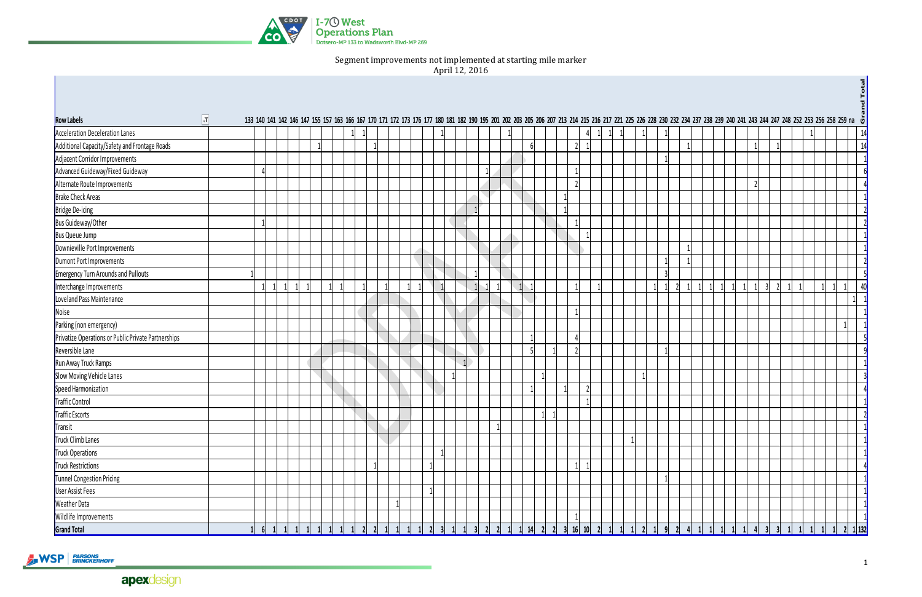

Segment improvements not implemented at starting mile marker

April 12, 2016

| $\overline{r}$<br><b>Row Labels</b>                 |   |                           |  |                   |           |                        |                        |           |         |  |  |   |  |                                |           |                        |   |                   |  |            |                                                 | 133 140 141 142 146 147 155 157 163 166 167 170 171 172 173 176 177 180 181 182 190 195 201 202 203 205 206 207 213 214 215 216 217 221 225 226 228 230 232 234 237 238 239 240 241 243 244 247 248 252 253 256 259 na $\ddot{\phi}$ |                             |                                                                          |
|-----------------------------------------------------|---|---------------------------|--|-------------------|-----------|------------------------|------------------------|-----------|---------|--|--|---|--|--------------------------------|-----------|------------------------|---|-------------------|--|------------|-------------------------------------------------|--------------------------------------------------------------------------------------------------------------------------------------------------------------------------------------------------------------------------------------|-----------------------------|--------------------------------------------------------------------------|
| <b>Acceleration Deceleration Lanes</b>              |   |                           |  |                   |           |                        |                        |           |         |  |  |   |  |                                |           |                        |   |                   |  |            |                                                 |                                                                                                                                                                                                                                      |                             | 14                                                                       |
| Additional Capacity/Safety and Frontage Roads       |   |                           |  |                   |           |                        |                        |           |         |  |  | ĥ |  |                                |           |                        |   |                   |  |            |                                                 |                                                                                                                                                                                                                                      |                             | 14                                                                       |
| Adjacent Corridor Improvements                      |   |                           |  |                   |           |                        |                        |           |         |  |  |   |  |                                |           |                        |   |                   |  |            |                                                 |                                                                                                                                                                                                                                      |                             |                                                                          |
| Advanced Guideway/Fixed Guideway                    |   |                           |  |                   |           |                        |                        |           |         |  |  |   |  |                                |           |                        |   |                   |  |            |                                                 |                                                                                                                                                                                                                                      |                             |                                                                          |
| Alternate Route Improvements                        |   |                           |  |                   |           |                        |                        |           |         |  |  |   |  |                                |           |                        |   |                   |  |            |                                                 |                                                                                                                                                                                                                                      |                             |                                                                          |
| <b>Brake Check Areas</b>                            |   |                           |  |                   |           |                        |                        |           |         |  |  |   |  |                                |           |                        |   |                   |  |            |                                                 |                                                                                                                                                                                                                                      |                             |                                                                          |
| <b>Bridge De-icing</b>                              |   |                           |  |                   |           |                        |                        |           |         |  |  |   |  |                                |           |                        |   |                   |  |            |                                                 |                                                                                                                                                                                                                                      |                             |                                                                          |
| <b>Bus Guideway/Other</b>                           |   |                           |  |                   |           |                        |                        |           |         |  |  |   |  |                                |           |                        |   |                   |  |            |                                                 |                                                                                                                                                                                                                                      |                             |                                                                          |
| <b>Bus Queue Jump</b>                               |   |                           |  |                   |           |                        |                        |           |         |  |  |   |  |                                |           |                        |   |                   |  |            |                                                 |                                                                                                                                                                                                                                      |                             |                                                                          |
| Downieville Port Improvements                       |   |                           |  |                   |           |                        |                        |           |         |  |  |   |  |                                |           |                        |   |                   |  |            |                                                 |                                                                                                                                                                                                                                      |                             |                                                                          |
| Dumont Port Improvements                            |   |                           |  |                   |           |                        |                        |           |         |  |  |   |  |                                |           |                        |   |                   |  |            |                                                 |                                                                                                                                                                                                                                      |                             |                                                                          |
| <b>Emergency Turn Arounds and Pullouts</b>          |   |                           |  |                   |           |                        |                        |           |         |  |  |   |  |                                |           |                        | 3 |                   |  |            |                                                 |                                                                                                                                                                                                                                      |                             |                                                                          |
| Interchange Improvements                            |   |                           |  |                   |           |                        |                        |           |         |  |  |   |  |                                |           |                        |   |                   |  | $1\vert$   | २                                               |                                                                                                                                                                                                                                      |                             | 40                                                                       |
| Loveland Pass Maintenance                           |   |                           |  |                   |           |                        |                        |           |         |  |  |   |  |                                |           |                        |   |                   |  |            |                                                 |                                                                                                                                                                                                                                      |                             |                                                                          |
|                                                     |   |                           |  |                   |           |                        |                        |           |         |  |  |   |  |                                |           |                        |   |                   |  |            |                                                 |                                                                                                                                                                                                                                      |                             |                                                                          |
| Noise<br>Parking (non emergency)                    |   |                           |  |                   |           |                        |                        |           |         |  |  |   |  |                                |           |                        |   |                   |  |            |                                                 |                                                                                                                                                                                                                                      |                             |                                                                          |
| Privatize Operations or Public Private Partnerships |   |                           |  |                   |           |                        |                        |           |         |  |  |   |  |                                |           |                        |   |                   |  |            |                                                 |                                                                                                                                                                                                                                      |                             |                                                                          |
| Reversible Lane                                     |   |                           |  |                   |           |                        |                        |           |         |  |  | 회 |  |                                |           |                        |   |                   |  |            |                                                 |                                                                                                                                                                                                                                      |                             |                                                                          |
| Run Away Truck Ramps                                |   |                           |  |                   |           |                        |                        |           |         |  |  |   |  |                                |           |                        |   |                   |  |            |                                                 |                                                                                                                                                                                                                                      |                             |                                                                          |
| Slow Moving Vehicle Lanes                           |   |                           |  |                   |           |                        |                        |           |         |  |  |   |  |                                |           |                        |   |                   |  |            |                                                 |                                                                                                                                                                                                                                      |                             |                                                                          |
| Speed Harmonization                                 |   |                           |  |                   |           |                        |                        |           |         |  |  |   |  |                                |           |                        |   |                   |  |            |                                                 |                                                                                                                                                                                                                                      |                             |                                                                          |
| Traffic Control                                     |   |                           |  |                   |           |                        |                        |           |         |  |  |   |  |                                |           |                        |   |                   |  |            |                                                 |                                                                                                                                                                                                                                      |                             |                                                                          |
| Traffic Escorts                                     |   |                           |  |                   |           |                        |                        |           |         |  |  |   |  |                                |           |                        |   |                   |  |            |                                                 |                                                                                                                                                                                                                                      |                             |                                                                          |
| Transit                                             |   |                           |  |                   |           |                        |                        |           |         |  |  |   |  |                                |           |                        |   |                   |  |            |                                                 |                                                                                                                                                                                                                                      |                             |                                                                          |
| Truck Climb Lanes                                   |   |                           |  |                   |           |                        |                        |           |         |  |  |   |  |                                |           |                        |   |                   |  |            |                                                 |                                                                                                                                                                                                                                      |                             |                                                                          |
| Truck Operations                                    |   |                           |  |                   |           |                        |                        |           |         |  |  |   |  |                                |           |                        |   |                   |  |            |                                                 |                                                                                                                                                                                                                                      |                             |                                                                          |
| Truck Restrictions                                  |   |                           |  |                   |           |                        |                        |           |         |  |  |   |  |                                |           |                        |   |                   |  |            |                                                 |                                                                                                                                                                                                                                      |                             |                                                                          |
| Tunnel Congestion Pricing                           |   |                           |  |                   |           |                        |                        |           |         |  |  |   |  |                                |           |                        |   |                   |  |            |                                                 |                                                                                                                                                                                                                                      |                             |                                                                          |
| <b>User Assist Fees</b>                             |   |                           |  |                   |           |                        |                        |           |         |  |  |   |  |                                |           |                        |   |                   |  |            |                                                 |                                                                                                                                                                                                                                      |                             |                                                                          |
| <b>Weather Data</b>                                 |   |                           |  |                   |           |                        |                        |           |         |  |  |   |  |                                |           |                        |   |                   |  |            |                                                 |                                                                                                                                                                                                                                      |                             |                                                                          |
| Wildlife Improvements                               |   |                           |  |                   |           |                        |                        |           |         |  |  |   |  |                                |           |                        |   |                   |  |            |                                                 |                                                                                                                                                                                                                                      |                             |                                                                          |
| <b>Grand Total</b>                                  | 6 | $\vert$<br>$\overline{1}$ |  | $1 \mid 1 \mid 1$ | $\vert$ 2 | $2 \quad 1$<br>$\vert$ | $\vert$ 2<br>$\vert$ 1 | $\vert$ 3 | $\vert$ |  |  |   |  | 3 2 2 1 1 14 2 2 3 16 10 2 1 1 | $\vert$ 1 | $\vert$ 2<br>$\vert$ 1 |   | $9 \mid 2 \mid 4$ |  | $1 \mid 1$ | $\vert$ 3<br>$\overline{\mathbf{3}}$<br>$\vert$ |                                                                                                                                                                                                                                      | $\overline{1}$<br>$\vert$ 1 | $\begin{array}{ c c c c c }\n\hline\n2 & 1 & 132 \\ \hline\n\end{array}$ |

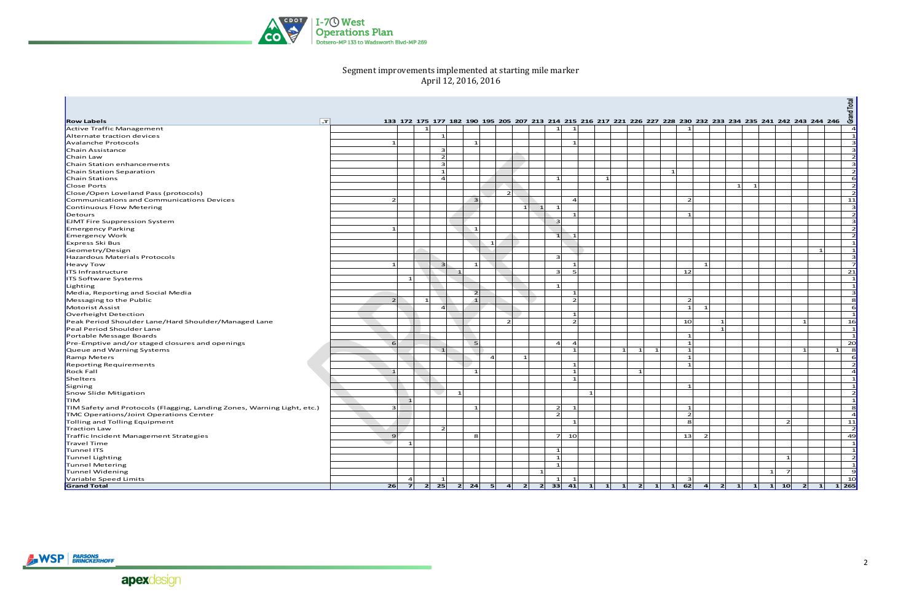

## Segment improvements implemented at starting mile marker April 12, 2016, 2016

| $\overline{ }$<br>133 172 175 177 182 190 195 205 207 213 214 215 216 217 221 226 227 228 230 232 233 234 235 241 242 243 244 246<br>$\mathbf{1}$<br>$\mathbf{1}$<br>$\mathbf{1}$<br>$\overline{a}$<br>$\mathbf{1}$<br>$\vert 1 \vert$<br>$\mathbf{1}$<br>$\vert$ 1<br>$\vert$ 3<br>$\mathbf{1}$<br>$\mathbf{1}$<br>$\vert$ 3<br>3<br>$\overline{2}$<br>$\overline{2}$<br>$\vert$ 3<br>Е<br>$\overline{2}$<br>$\mathbf{1}$<br>$\mathbf{1}$<br>$\mathbf{1}$<br>$\mathbf{1}$<br>- 6<br>$\overline{a}$<br>$\overline{2}$<br>$\mathbf{1}$<br>$\overline{1}$<br>$\overline{2}$<br>$\overline{z}$<br>$\overline{2}$<br>11<br>$\overline{z}$<br>$\vert$ 3<br>$\overline{4}$<br>$\vert$ 3<br>$\mathbf{1}$<br>Continuous Flow Metering<br>$\mathbf{1}$<br>$\mathbf{1}$<br>$\overline{2}$<br>$\mathbf{1}$<br>$\vert$ 3<br><b>EJMT Fire Suppression System</b><br>$\mathbf{3}$<br>$\overline{2}$<br><b>Emergency Parking</b><br>$\overline{1}$<br>$\mathbf{1}$<br>$\mathbf{1}$<br>$\vert$ 2<br><b>Emergency Work</b><br>$\vert 1 \vert$<br>Express Ski Bus<br>$\mathbf{1}$<br>$\blacksquare$<br>Geometry/Design<br>$\mathbf{1}$<br>$\vert$ 3<br>$\mathbf{3}$<br>Hazardous Materials Protocols<br>- 7<br>Heavy Tow<br>$\mathbf{1}$<br>$\rightarrow$<br>$\mathbf{1}$<br>$\mathbf{1}$<br>$\overline{\mathbf{3}}$<br>5<br>12<br>21<br>ITS Infrastructure<br>$\overline{\phantom{0}}$<br>$\vert$ 1<br><b>ITS Software Systems</b><br>$\mathbf{1}$<br>$\vert 1 \vert$<br>$\mathbf{1}$<br>Lighting<br>$\vert$ 3<br>Media, Reporting and Social Media<br>$\overline{2}$<br>$\mathbf{1}$<br>$\overline{1}$<br>$\overline{1}$<br>$\overline{2}$<br>$\overline{2}$<br>8<br>Messaging to the Public<br>$\mathbf{1}$<br>- 6<br>Motorist Assist<br>$\mathbf{1}$<br>$\overline{a}$<br>$\vert$ 1<br>Overheight Detection<br>$\mathbf{1}$<br>$\overline{2}$<br>16<br>$\overline{2}$<br>10 <sup>1</sup><br>Peak Period Shoulder Lane/Hard Shoulder/Managed Lane<br>$\overline{\phantom{0}}$<br>Peal Period Shoulder Lane<br>$\blacksquare$<br>$\mathbf{1}$<br>Portable Message Boards<br>$\mathbf{1}$<br>$\vert$ 1<br>$\mathbf{1}$<br>20 <sub>l</sub><br>6<br>$5^{\circ}$<br>Pre-Emptive and/or staged closures and openings<br>$\overline{a}$<br>$\overline{a}$<br>$\mathbf{1}$<br>$\vert 1 \vert$<br>- 8<br>Queue and Warning Systems<br>$\sqrt{1}$<br>$\overline{1}$<br>$\overline{1}$<br>$\overline{\phantom{0}}$<br>$\vert$ 1<br>- 6<br><b>Ramp Meters</b><br>$\mathbf{1}$<br>$\overline{4}$<br>$\mathbf{1}$<br>$\overline{2}$<br><b>Reporting Requirements</b><br>$\mathbf{1}$<br>$\vert$ 1<br>$\mathbf{1}$<br>$\overline{4}$<br><b>Rock Fall</b><br>$\overline{1}$<br>$\mathbf{1}$<br>$\mathbf{1}$<br>$\vert$ 1<br>Shelters<br>$\mathbf{1}$<br>$\vert 1 \vert$<br>Signing<br>$\overline{2}$<br>Snow Slide Mitigation<br>$\mathbf{1}$<br>$\vert 1 \vert$<br><b>TIM</b><br>$\overline{1}$<br>8<br>TIM Safety and Protocols (Flagging, Landing Zones, Warning Light, etc.)<br>$\overline{2}$<br>$\vert$ 1<br>3<br>$\overline{1}$<br>$\mathbf{1}$<br>$\overline{2}$<br>$\overline{2}$<br>$\overline{a}$<br><b>TMC Operations/Joint Operations Center</b><br>8<br>11<br>Tolling and Tolling Equipment<br>$\overline{2}$<br>$\mathbf{1}$<br>$\overline{2}$<br>Traction Law<br>$\overline{2}$<br>$7 \mid 10 \mid$<br>13<br>49<br>Traffic Incident Management Strategies<br>9<br>8<br>$\overline{2}$<br>$\vert 1 \vert$<br>Travel Time<br>$\overline{1}$<br>$\overline{1}$<br>Tunnel ITS<br>$\mathbf{1}$ |                                           |  |  |  |  |  |  |  |  |  |  |  |  |  |  | Grand Total |
|----------------------------------------------------------------------------------------------------------------------------------------------------------------------------------------------------------------------------------------------------------------------------------------------------------------------------------------------------------------------------------------------------------------------------------------------------------------------------------------------------------------------------------------------------------------------------------------------------------------------------------------------------------------------------------------------------------------------------------------------------------------------------------------------------------------------------------------------------------------------------------------------------------------------------------------------------------------------------------------------------------------------------------------------------------------------------------------------------------------------------------------------------------------------------------------------------------------------------------------------------------------------------------------------------------------------------------------------------------------------------------------------------------------------------------------------------------------------------------------------------------------------------------------------------------------------------------------------------------------------------------------------------------------------------------------------------------------------------------------------------------------------------------------------------------------------------------------------------------------------------------------------------------------------------------------------------------------------------------------------------------------------------------------------------------------------------------------------------------------------------------------------------------------------------------------------------------------------------------------------------------------------------------------------------------------------------------------------------------------------------------------------------------------------------------------------------------------------------------------------------------------------------------------------------------------------------------------------------------------------------------------------------------------------------------------------------------------------------------------------------------------------------------------------------------------------------------------------------------------------------------------------------------------------------------------------------------------------------------------------------------------------------------------------------------------------------------------------------------------------------------------------------------------------------------------------------------------------------------------------------------------------------------------------------------------------------------------------------------------------------------------------------------------------------------------------------------------------------|-------------------------------------------|--|--|--|--|--|--|--|--|--|--|--|--|--|--|-------------|
|                                                                                                                                                                                                                                                                                                                                                                                                                                                                                                                                                                                                                                                                                                                                                                                                                                                                                                                                                                                                                                                                                                                                                                                                                                                                                                                                                                                                                                                                                                                                                                                                                                                                                                                                                                                                                                                                                                                                                                                                                                                                                                                                                                                                                                                                                                                                                                                                                                                                                                                                                                                                                                                                                                                                                                                                                                                                                                                                                                                                                                                                                                                                                                                                                                                                                                                                                                                                                                                                            | <b>Row Labels</b>                         |  |  |  |  |  |  |  |  |  |  |  |  |  |  |             |
|                                                                                                                                                                                                                                                                                                                                                                                                                                                                                                                                                                                                                                                                                                                                                                                                                                                                                                                                                                                                                                                                                                                                                                                                                                                                                                                                                                                                                                                                                                                                                                                                                                                                                                                                                                                                                                                                                                                                                                                                                                                                                                                                                                                                                                                                                                                                                                                                                                                                                                                                                                                                                                                                                                                                                                                                                                                                                                                                                                                                                                                                                                                                                                                                                                                                                                                                                                                                                                                                            | Active Traffic Management                 |  |  |  |  |  |  |  |  |  |  |  |  |  |  |             |
|                                                                                                                                                                                                                                                                                                                                                                                                                                                                                                                                                                                                                                                                                                                                                                                                                                                                                                                                                                                                                                                                                                                                                                                                                                                                                                                                                                                                                                                                                                                                                                                                                                                                                                                                                                                                                                                                                                                                                                                                                                                                                                                                                                                                                                                                                                                                                                                                                                                                                                                                                                                                                                                                                                                                                                                                                                                                                                                                                                                                                                                                                                                                                                                                                                                                                                                                                                                                                                                                            | Alternate traction devices                |  |  |  |  |  |  |  |  |  |  |  |  |  |  |             |
|                                                                                                                                                                                                                                                                                                                                                                                                                                                                                                                                                                                                                                                                                                                                                                                                                                                                                                                                                                                                                                                                                                                                                                                                                                                                                                                                                                                                                                                                                                                                                                                                                                                                                                                                                                                                                                                                                                                                                                                                                                                                                                                                                                                                                                                                                                                                                                                                                                                                                                                                                                                                                                                                                                                                                                                                                                                                                                                                                                                                                                                                                                                                                                                                                                                                                                                                                                                                                                                                            | Avalanche Protocols                       |  |  |  |  |  |  |  |  |  |  |  |  |  |  |             |
|                                                                                                                                                                                                                                                                                                                                                                                                                                                                                                                                                                                                                                                                                                                                                                                                                                                                                                                                                                                                                                                                                                                                                                                                                                                                                                                                                                                                                                                                                                                                                                                                                                                                                                                                                                                                                                                                                                                                                                                                                                                                                                                                                                                                                                                                                                                                                                                                                                                                                                                                                                                                                                                                                                                                                                                                                                                                                                                                                                                                                                                                                                                                                                                                                                                                                                                                                                                                                                                                            | Chain Assistance                          |  |  |  |  |  |  |  |  |  |  |  |  |  |  |             |
|                                                                                                                                                                                                                                                                                                                                                                                                                                                                                                                                                                                                                                                                                                                                                                                                                                                                                                                                                                                                                                                                                                                                                                                                                                                                                                                                                                                                                                                                                                                                                                                                                                                                                                                                                                                                                                                                                                                                                                                                                                                                                                                                                                                                                                                                                                                                                                                                                                                                                                                                                                                                                                                                                                                                                                                                                                                                                                                                                                                                                                                                                                                                                                                                                                                                                                                                                                                                                                                                            | Chain Law                                 |  |  |  |  |  |  |  |  |  |  |  |  |  |  |             |
|                                                                                                                                                                                                                                                                                                                                                                                                                                                                                                                                                                                                                                                                                                                                                                                                                                                                                                                                                                                                                                                                                                                                                                                                                                                                                                                                                                                                                                                                                                                                                                                                                                                                                                                                                                                                                                                                                                                                                                                                                                                                                                                                                                                                                                                                                                                                                                                                                                                                                                                                                                                                                                                                                                                                                                                                                                                                                                                                                                                                                                                                                                                                                                                                                                                                                                                                                                                                                                                                            | Chain Station enhancements                |  |  |  |  |  |  |  |  |  |  |  |  |  |  |             |
|                                                                                                                                                                                                                                                                                                                                                                                                                                                                                                                                                                                                                                                                                                                                                                                                                                                                                                                                                                                                                                                                                                                                                                                                                                                                                                                                                                                                                                                                                                                                                                                                                                                                                                                                                                                                                                                                                                                                                                                                                                                                                                                                                                                                                                                                                                                                                                                                                                                                                                                                                                                                                                                                                                                                                                                                                                                                                                                                                                                                                                                                                                                                                                                                                                                                                                                                                                                                                                                                            | Chain Station Separation                  |  |  |  |  |  |  |  |  |  |  |  |  |  |  |             |
|                                                                                                                                                                                                                                                                                                                                                                                                                                                                                                                                                                                                                                                                                                                                                                                                                                                                                                                                                                                                                                                                                                                                                                                                                                                                                                                                                                                                                                                                                                                                                                                                                                                                                                                                                                                                                                                                                                                                                                                                                                                                                                                                                                                                                                                                                                                                                                                                                                                                                                                                                                                                                                                                                                                                                                                                                                                                                                                                                                                                                                                                                                                                                                                                                                                                                                                                                                                                                                                                            | Chain Stations                            |  |  |  |  |  |  |  |  |  |  |  |  |  |  |             |
|                                                                                                                                                                                                                                                                                                                                                                                                                                                                                                                                                                                                                                                                                                                                                                                                                                                                                                                                                                                                                                                                                                                                                                                                                                                                                                                                                                                                                                                                                                                                                                                                                                                                                                                                                                                                                                                                                                                                                                                                                                                                                                                                                                                                                                                                                                                                                                                                                                                                                                                                                                                                                                                                                                                                                                                                                                                                                                                                                                                                                                                                                                                                                                                                                                                                                                                                                                                                                                                                            | Close Ports                               |  |  |  |  |  |  |  |  |  |  |  |  |  |  |             |
|                                                                                                                                                                                                                                                                                                                                                                                                                                                                                                                                                                                                                                                                                                                                                                                                                                                                                                                                                                                                                                                                                                                                                                                                                                                                                                                                                                                                                                                                                                                                                                                                                                                                                                                                                                                                                                                                                                                                                                                                                                                                                                                                                                                                                                                                                                                                                                                                                                                                                                                                                                                                                                                                                                                                                                                                                                                                                                                                                                                                                                                                                                                                                                                                                                                                                                                                                                                                                                                                            | Close/Open Loveland Pass (protocols)      |  |  |  |  |  |  |  |  |  |  |  |  |  |  |             |
|                                                                                                                                                                                                                                                                                                                                                                                                                                                                                                                                                                                                                                                                                                                                                                                                                                                                                                                                                                                                                                                                                                                                                                                                                                                                                                                                                                                                                                                                                                                                                                                                                                                                                                                                                                                                                                                                                                                                                                                                                                                                                                                                                                                                                                                                                                                                                                                                                                                                                                                                                                                                                                                                                                                                                                                                                                                                                                                                                                                                                                                                                                                                                                                                                                                                                                                                                                                                                                                                            | Communications and Communications Devices |  |  |  |  |  |  |  |  |  |  |  |  |  |  |             |
|                                                                                                                                                                                                                                                                                                                                                                                                                                                                                                                                                                                                                                                                                                                                                                                                                                                                                                                                                                                                                                                                                                                                                                                                                                                                                                                                                                                                                                                                                                                                                                                                                                                                                                                                                                                                                                                                                                                                                                                                                                                                                                                                                                                                                                                                                                                                                                                                                                                                                                                                                                                                                                                                                                                                                                                                                                                                                                                                                                                                                                                                                                                                                                                                                                                                                                                                                                                                                                                                            |                                           |  |  |  |  |  |  |  |  |  |  |  |  |  |  |             |
|                                                                                                                                                                                                                                                                                                                                                                                                                                                                                                                                                                                                                                                                                                                                                                                                                                                                                                                                                                                                                                                                                                                                                                                                                                                                                                                                                                                                                                                                                                                                                                                                                                                                                                                                                                                                                                                                                                                                                                                                                                                                                                                                                                                                                                                                                                                                                                                                                                                                                                                                                                                                                                                                                                                                                                                                                                                                                                                                                                                                                                                                                                                                                                                                                                                                                                                                                                                                                                                                            | Detours                                   |  |  |  |  |  |  |  |  |  |  |  |  |  |  |             |
|                                                                                                                                                                                                                                                                                                                                                                                                                                                                                                                                                                                                                                                                                                                                                                                                                                                                                                                                                                                                                                                                                                                                                                                                                                                                                                                                                                                                                                                                                                                                                                                                                                                                                                                                                                                                                                                                                                                                                                                                                                                                                                                                                                                                                                                                                                                                                                                                                                                                                                                                                                                                                                                                                                                                                                                                                                                                                                                                                                                                                                                                                                                                                                                                                                                                                                                                                                                                                                                                            |                                           |  |  |  |  |  |  |  |  |  |  |  |  |  |  |             |
|                                                                                                                                                                                                                                                                                                                                                                                                                                                                                                                                                                                                                                                                                                                                                                                                                                                                                                                                                                                                                                                                                                                                                                                                                                                                                                                                                                                                                                                                                                                                                                                                                                                                                                                                                                                                                                                                                                                                                                                                                                                                                                                                                                                                                                                                                                                                                                                                                                                                                                                                                                                                                                                                                                                                                                                                                                                                                                                                                                                                                                                                                                                                                                                                                                                                                                                                                                                                                                                                            |                                           |  |  |  |  |  |  |  |  |  |  |  |  |  |  |             |
|                                                                                                                                                                                                                                                                                                                                                                                                                                                                                                                                                                                                                                                                                                                                                                                                                                                                                                                                                                                                                                                                                                                                                                                                                                                                                                                                                                                                                                                                                                                                                                                                                                                                                                                                                                                                                                                                                                                                                                                                                                                                                                                                                                                                                                                                                                                                                                                                                                                                                                                                                                                                                                                                                                                                                                                                                                                                                                                                                                                                                                                                                                                                                                                                                                                                                                                                                                                                                                                                            |                                           |  |  |  |  |  |  |  |  |  |  |  |  |  |  |             |
|                                                                                                                                                                                                                                                                                                                                                                                                                                                                                                                                                                                                                                                                                                                                                                                                                                                                                                                                                                                                                                                                                                                                                                                                                                                                                                                                                                                                                                                                                                                                                                                                                                                                                                                                                                                                                                                                                                                                                                                                                                                                                                                                                                                                                                                                                                                                                                                                                                                                                                                                                                                                                                                                                                                                                                                                                                                                                                                                                                                                                                                                                                                                                                                                                                                                                                                                                                                                                                                                            |                                           |  |  |  |  |  |  |  |  |  |  |  |  |  |  |             |
|                                                                                                                                                                                                                                                                                                                                                                                                                                                                                                                                                                                                                                                                                                                                                                                                                                                                                                                                                                                                                                                                                                                                                                                                                                                                                                                                                                                                                                                                                                                                                                                                                                                                                                                                                                                                                                                                                                                                                                                                                                                                                                                                                                                                                                                                                                                                                                                                                                                                                                                                                                                                                                                                                                                                                                                                                                                                                                                                                                                                                                                                                                                                                                                                                                                                                                                                                                                                                                                                            |                                           |  |  |  |  |  |  |  |  |  |  |  |  |  |  |             |
|                                                                                                                                                                                                                                                                                                                                                                                                                                                                                                                                                                                                                                                                                                                                                                                                                                                                                                                                                                                                                                                                                                                                                                                                                                                                                                                                                                                                                                                                                                                                                                                                                                                                                                                                                                                                                                                                                                                                                                                                                                                                                                                                                                                                                                                                                                                                                                                                                                                                                                                                                                                                                                                                                                                                                                                                                                                                                                                                                                                                                                                                                                                                                                                                                                                                                                                                                                                                                                                                            |                                           |  |  |  |  |  |  |  |  |  |  |  |  |  |  |             |
|                                                                                                                                                                                                                                                                                                                                                                                                                                                                                                                                                                                                                                                                                                                                                                                                                                                                                                                                                                                                                                                                                                                                                                                                                                                                                                                                                                                                                                                                                                                                                                                                                                                                                                                                                                                                                                                                                                                                                                                                                                                                                                                                                                                                                                                                                                                                                                                                                                                                                                                                                                                                                                                                                                                                                                                                                                                                                                                                                                                                                                                                                                                                                                                                                                                                                                                                                                                                                                                                            |                                           |  |  |  |  |  |  |  |  |  |  |  |  |  |  |             |
|                                                                                                                                                                                                                                                                                                                                                                                                                                                                                                                                                                                                                                                                                                                                                                                                                                                                                                                                                                                                                                                                                                                                                                                                                                                                                                                                                                                                                                                                                                                                                                                                                                                                                                                                                                                                                                                                                                                                                                                                                                                                                                                                                                                                                                                                                                                                                                                                                                                                                                                                                                                                                                                                                                                                                                                                                                                                                                                                                                                                                                                                                                                                                                                                                                                                                                                                                                                                                                                                            |                                           |  |  |  |  |  |  |  |  |  |  |  |  |  |  |             |
|                                                                                                                                                                                                                                                                                                                                                                                                                                                                                                                                                                                                                                                                                                                                                                                                                                                                                                                                                                                                                                                                                                                                                                                                                                                                                                                                                                                                                                                                                                                                                                                                                                                                                                                                                                                                                                                                                                                                                                                                                                                                                                                                                                                                                                                                                                                                                                                                                                                                                                                                                                                                                                                                                                                                                                                                                                                                                                                                                                                                                                                                                                                                                                                                                                                                                                                                                                                                                                                                            |                                           |  |  |  |  |  |  |  |  |  |  |  |  |  |  |             |
|                                                                                                                                                                                                                                                                                                                                                                                                                                                                                                                                                                                                                                                                                                                                                                                                                                                                                                                                                                                                                                                                                                                                                                                                                                                                                                                                                                                                                                                                                                                                                                                                                                                                                                                                                                                                                                                                                                                                                                                                                                                                                                                                                                                                                                                                                                                                                                                                                                                                                                                                                                                                                                                                                                                                                                                                                                                                                                                                                                                                                                                                                                                                                                                                                                                                                                                                                                                                                                                                            |                                           |  |  |  |  |  |  |  |  |  |  |  |  |  |  |             |
|                                                                                                                                                                                                                                                                                                                                                                                                                                                                                                                                                                                                                                                                                                                                                                                                                                                                                                                                                                                                                                                                                                                                                                                                                                                                                                                                                                                                                                                                                                                                                                                                                                                                                                                                                                                                                                                                                                                                                                                                                                                                                                                                                                                                                                                                                                                                                                                                                                                                                                                                                                                                                                                                                                                                                                                                                                                                                                                                                                                                                                                                                                                                                                                                                                                                                                                                                                                                                                                                            |                                           |  |  |  |  |  |  |  |  |  |  |  |  |  |  |             |
|                                                                                                                                                                                                                                                                                                                                                                                                                                                                                                                                                                                                                                                                                                                                                                                                                                                                                                                                                                                                                                                                                                                                                                                                                                                                                                                                                                                                                                                                                                                                                                                                                                                                                                                                                                                                                                                                                                                                                                                                                                                                                                                                                                                                                                                                                                                                                                                                                                                                                                                                                                                                                                                                                                                                                                                                                                                                                                                                                                                                                                                                                                                                                                                                                                                                                                                                                                                                                                                                            |                                           |  |  |  |  |  |  |  |  |  |  |  |  |  |  |             |
|                                                                                                                                                                                                                                                                                                                                                                                                                                                                                                                                                                                                                                                                                                                                                                                                                                                                                                                                                                                                                                                                                                                                                                                                                                                                                                                                                                                                                                                                                                                                                                                                                                                                                                                                                                                                                                                                                                                                                                                                                                                                                                                                                                                                                                                                                                                                                                                                                                                                                                                                                                                                                                                                                                                                                                                                                                                                                                                                                                                                                                                                                                                                                                                                                                                                                                                                                                                                                                                                            |                                           |  |  |  |  |  |  |  |  |  |  |  |  |  |  |             |
|                                                                                                                                                                                                                                                                                                                                                                                                                                                                                                                                                                                                                                                                                                                                                                                                                                                                                                                                                                                                                                                                                                                                                                                                                                                                                                                                                                                                                                                                                                                                                                                                                                                                                                                                                                                                                                                                                                                                                                                                                                                                                                                                                                                                                                                                                                                                                                                                                                                                                                                                                                                                                                                                                                                                                                                                                                                                                                                                                                                                                                                                                                                                                                                                                                                                                                                                                                                                                                                                            |                                           |  |  |  |  |  |  |  |  |  |  |  |  |  |  |             |
|                                                                                                                                                                                                                                                                                                                                                                                                                                                                                                                                                                                                                                                                                                                                                                                                                                                                                                                                                                                                                                                                                                                                                                                                                                                                                                                                                                                                                                                                                                                                                                                                                                                                                                                                                                                                                                                                                                                                                                                                                                                                                                                                                                                                                                                                                                                                                                                                                                                                                                                                                                                                                                                                                                                                                                                                                                                                                                                                                                                                                                                                                                                                                                                                                                                                                                                                                                                                                                                                            |                                           |  |  |  |  |  |  |  |  |  |  |  |  |  |  |             |
|                                                                                                                                                                                                                                                                                                                                                                                                                                                                                                                                                                                                                                                                                                                                                                                                                                                                                                                                                                                                                                                                                                                                                                                                                                                                                                                                                                                                                                                                                                                                                                                                                                                                                                                                                                                                                                                                                                                                                                                                                                                                                                                                                                                                                                                                                                                                                                                                                                                                                                                                                                                                                                                                                                                                                                                                                                                                                                                                                                                                                                                                                                                                                                                                                                                                                                                                                                                                                                                                            |                                           |  |  |  |  |  |  |  |  |  |  |  |  |  |  |             |
|                                                                                                                                                                                                                                                                                                                                                                                                                                                                                                                                                                                                                                                                                                                                                                                                                                                                                                                                                                                                                                                                                                                                                                                                                                                                                                                                                                                                                                                                                                                                                                                                                                                                                                                                                                                                                                                                                                                                                                                                                                                                                                                                                                                                                                                                                                                                                                                                                                                                                                                                                                                                                                                                                                                                                                                                                                                                                                                                                                                                                                                                                                                                                                                                                                                                                                                                                                                                                                                                            |                                           |  |  |  |  |  |  |  |  |  |  |  |  |  |  |             |
|                                                                                                                                                                                                                                                                                                                                                                                                                                                                                                                                                                                                                                                                                                                                                                                                                                                                                                                                                                                                                                                                                                                                                                                                                                                                                                                                                                                                                                                                                                                                                                                                                                                                                                                                                                                                                                                                                                                                                                                                                                                                                                                                                                                                                                                                                                                                                                                                                                                                                                                                                                                                                                                                                                                                                                                                                                                                                                                                                                                                                                                                                                                                                                                                                                                                                                                                                                                                                                                                            |                                           |  |  |  |  |  |  |  |  |  |  |  |  |  |  |             |
|                                                                                                                                                                                                                                                                                                                                                                                                                                                                                                                                                                                                                                                                                                                                                                                                                                                                                                                                                                                                                                                                                                                                                                                                                                                                                                                                                                                                                                                                                                                                                                                                                                                                                                                                                                                                                                                                                                                                                                                                                                                                                                                                                                                                                                                                                                                                                                                                                                                                                                                                                                                                                                                                                                                                                                                                                                                                                                                                                                                                                                                                                                                                                                                                                                                                                                                                                                                                                                                                            |                                           |  |  |  |  |  |  |  |  |  |  |  |  |  |  |             |
|                                                                                                                                                                                                                                                                                                                                                                                                                                                                                                                                                                                                                                                                                                                                                                                                                                                                                                                                                                                                                                                                                                                                                                                                                                                                                                                                                                                                                                                                                                                                                                                                                                                                                                                                                                                                                                                                                                                                                                                                                                                                                                                                                                                                                                                                                                                                                                                                                                                                                                                                                                                                                                                                                                                                                                                                                                                                                                                                                                                                                                                                                                                                                                                                                                                                                                                                                                                                                                                                            |                                           |  |  |  |  |  |  |  |  |  |  |  |  |  |  |             |
|                                                                                                                                                                                                                                                                                                                                                                                                                                                                                                                                                                                                                                                                                                                                                                                                                                                                                                                                                                                                                                                                                                                                                                                                                                                                                                                                                                                                                                                                                                                                                                                                                                                                                                                                                                                                                                                                                                                                                                                                                                                                                                                                                                                                                                                                                                                                                                                                                                                                                                                                                                                                                                                                                                                                                                                                                                                                                                                                                                                                                                                                                                                                                                                                                                                                                                                                                                                                                                                                            |                                           |  |  |  |  |  |  |  |  |  |  |  |  |  |  |             |
|                                                                                                                                                                                                                                                                                                                                                                                                                                                                                                                                                                                                                                                                                                                                                                                                                                                                                                                                                                                                                                                                                                                                                                                                                                                                                                                                                                                                                                                                                                                                                                                                                                                                                                                                                                                                                                                                                                                                                                                                                                                                                                                                                                                                                                                                                                                                                                                                                                                                                                                                                                                                                                                                                                                                                                                                                                                                                                                                                                                                                                                                                                                                                                                                                                                                                                                                                                                                                                                                            |                                           |  |  |  |  |  |  |  |  |  |  |  |  |  |  |             |
|                                                                                                                                                                                                                                                                                                                                                                                                                                                                                                                                                                                                                                                                                                                                                                                                                                                                                                                                                                                                                                                                                                                                                                                                                                                                                                                                                                                                                                                                                                                                                                                                                                                                                                                                                                                                                                                                                                                                                                                                                                                                                                                                                                                                                                                                                                                                                                                                                                                                                                                                                                                                                                                                                                                                                                                                                                                                                                                                                                                                                                                                                                                                                                                                                                                                                                                                                                                                                                                                            |                                           |  |  |  |  |  |  |  |  |  |  |  |  |  |  |             |
|                                                                                                                                                                                                                                                                                                                                                                                                                                                                                                                                                                                                                                                                                                                                                                                                                                                                                                                                                                                                                                                                                                                                                                                                                                                                                                                                                                                                                                                                                                                                                                                                                                                                                                                                                                                                                                                                                                                                                                                                                                                                                                                                                                                                                                                                                                                                                                                                                                                                                                                                                                                                                                                                                                                                                                                                                                                                                                                                                                                                                                                                                                                                                                                                                                                                                                                                                                                                                                                                            |                                           |  |  |  |  |  |  |  |  |  |  |  |  |  |  |             |
|                                                                                                                                                                                                                                                                                                                                                                                                                                                                                                                                                                                                                                                                                                                                                                                                                                                                                                                                                                                                                                                                                                                                                                                                                                                                                                                                                                                                                                                                                                                                                                                                                                                                                                                                                                                                                                                                                                                                                                                                                                                                                                                                                                                                                                                                                                                                                                                                                                                                                                                                                                                                                                                                                                                                                                                                                                                                                                                                                                                                                                                                                                                                                                                                                                                                                                                                                                                                                                                                            |                                           |  |  |  |  |  |  |  |  |  |  |  |  |  |  |             |
|                                                                                                                                                                                                                                                                                                                                                                                                                                                                                                                                                                                                                                                                                                                                                                                                                                                                                                                                                                                                                                                                                                                                                                                                                                                                                                                                                                                                                                                                                                                                                                                                                                                                                                                                                                                                                                                                                                                                                                                                                                                                                                                                                                                                                                                                                                                                                                                                                                                                                                                                                                                                                                                                                                                                                                                                                                                                                                                                                                                                                                                                                                                                                                                                                                                                                                                                                                                                                                                                            |                                           |  |  |  |  |  |  |  |  |  |  |  |  |  |  |             |
|                                                                                                                                                                                                                                                                                                                                                                                                                                                                                                                                                                                                                                                                                                                                                                                                                                                                                                                                                                                                                                                                                                                                                                                                                                                                                                                                                                                                                                                                                                                                                                                                                                                                                                                                                                                                                                                                                                                                                                                                                                                                                                                                                                                                                                                                                                                                                                                                                                                                                                                                                                                                                                                                                                                                                                                                                                                                                                                                                                                                                                                                                                                                                                                                                                                                                                                                                                                                                                                                            |                                           |  |  |  |  |  |  |  |  |  |  |  |  |  |  |             |
|                                                                                                                                                                                                                                                                                                                                                                                                                                                                                                                                                                                                                                                                                                                                                                                                                                                                                                                                                                                                                                                                                                                                                                                                                                                                                                                                                                                                                                                                                                                                                                                                                                                                                                                                                                                                                                                                                                                                                                                                                                                                                                                                                                                                                                                                                                                                                                                                                                                                                                                                                                                                                                                                                                                                                                                                                                                                                                                                                                                                                                                                                                                                                                                                                                                                                                                                                                                                                                                                            |                                           |  |  |  |  |  |  |  |  |  |  |  |  |  |  |             |
|                                                                                                                                                                                                                                                                                                                                                                                                                                                                                                                                                                                                                                                                                                                                                                                                                                                                                                                                                                                                                                                                                                                                                                                                                                                                                                                                                                                                                                                                                                                                                                                                                                                                                                                                                                                                                                                                                                                                                                                                                                                                                                                                                                                                                                                                                                                                                                                                                                                                                                                                                                                                                                                                                                                                                                                                                                                                                                                                                                                                                                                                                                                                                                                                                                                                                                                                                                                                                                                                            |                                           |  |  |  |  |  |  |  |  |  |  |  |  |  |  |             |
|                                                                                                                                                                                                                                                                                                                                                                                                                                                                                                                                                                                                                                                                                                                                                                                                                                                                                                                                                                                                                                                                                                                                                                                                                                                                                                                                                                                                                                                                                                                                                                                                                                                                                                                                                                                                                                                                                                                                                                                                                                                                                                                                                                                                                                                                                                                                                                                                                                                                                                                                                                                                                                                                                                                                                                                                                                                                                                                                                                                                                                                                                                                                                                                                                                                                                                                                                                                                                                                                            |                                           |  |  |  |  |  |  |  |  |  |  |  |  |  |  |             |
|                                                                                                                                                                                                                                                                                                                                                                                                                                                                                                                                                                                                                                                                                                                                                                                                                                                                                                                                                                                                                                                                                                                                                                                                                                                                                                                                                                                                                                                                                                                                                                                                                                                                                                                                                                                                                                                                                                                                                                                                                                                                                                                                                                                                                                                                                                                                                                                                                                                                                                                                                                                                                                                                                                                                                                                                                                                                                                                                                                                                                                                                                                                                                                                                                                                                                                                                                                                                                                                                            |                                           |  |  |  |  |  |  |  |  |  |  |  |  |  |  |             |
|                                                                                                                                                                                                                                                                                                                                                                                                                                                                                                                                                                                                                                                                                                                                                                                                                                                                                                                                                                                                                                                                                                                                                                                                                                                                                                                                                                                                                                                                                                                                                                                                                                                                                                                                                                                                                                                                                                                                                                                                                                                                                                                                                                                                                                                                                                                                                                                                                                                                                                                                                                                                                                                                                                                                                                                                                                                                                                                                                                                                                                                                                                                                                                                                                                                                                                                                                                                                                                                                            |                                           |  |  |  |  |  |  |  |  |  |  |  |  |  |  |             |
|                                                                                                                                                                                                                                                                                                                                                                                                                                                                                                                                                                                                                                                                                                                                                                                                                                                                                                                                                                                                                                                                                                                                                                                                                                                                                                                                                                                                                                                                                                                                                                                                                                                                                                                                                                                                                                                                                                                                                                                                                                                                                                                                                                                                                                                                                                                                                                                                                                                                                                                                                                                                                                                                                                                                                                                                                                                                                                                                                                                                                                                                                                                                                                                                                                                                                                                                                                                                                                                                            |                                           |  |  |  |  |  |  |  |  |  |  |  |  |  |  |             |
| $\overline{2}$<br>$\mathbf{1}$<br>$\mathbf{1}$                                                                                                                                                                                                                                                                                                                                                                                                                                                                                                                                                                                                                                                                                                                                                                                                                                                                                                                                                                                                                                                                                                                                                                                                                                                                                                                                                                                                                                                                                                                                                                                                                                                                                                                                                                                                                                                                                                                                                                                                                                                                                                                                                                                                                                                                                                                                                                                                                                                                                                                                                                                                                                                                                                                                                                                                                                                                                                                                                                                                                                                                                                                                                                                                                                                                                                                                                                                                                             | Tunnel Lighting                           |  |  |  |  |  |  |  |  |  |  |  |  |  |  |             |
| $\vert 1 \vert$<br>$\mathbf{1}$                                                                                                                                                                                                                                                                                                                                                                                                                                                                                                                                                                                                                                                                                                                                                                                                                                                                                                                                                                                                                                                                                                                                                                                                                                                                                                                                                                                                                                                                                                                                                                                                                                                                                                                                                                                                                                                                                                                                                                                                                                                                                                                                                                                                                                                                                                                                                                                                                                                                                                                                                                                                                                                                                                                                                                                                                                                                                                                                                                                                                                                                                                                                                                                                                                                                                                                                                                                                                                            | Tunnel Metering                           |  |  |  |  |  |  |  |  |  |  |  |  |  |  |             |
| - 9l<br>$\mathbf{1}$<br>$\overline{z}$<br>$\mathbf{1}$                                                                                                                                                                                                                                                                                                                                                                                                                                                                                                                                                                                                                                                                                                                                                                                                                                                                                                                                                                                                                                                                                                                                                                                                                                                                                                                                                                                                                                                                                                                                                                                                                                                                                                                                                                                                                                                                                                                                                                                                                                                                                                                                                                                                                                                                                                                                                                                                                                                                                                                                                                                                                                                                                                                                                                                                                                                                                                                                                                                                                                                                                                                                                                                                                                                                                                                                                                                                                     | Tunnel Widening                           |  |  |  |  |  |  |  |  |  |  |  |  |  |  |             |
| 10<br>$\Delta$<br>$\mathbf{1}$<br>$\mathbf{1}$<br>$\mathbf{1}$<br>$\mathbf{3}$                                                                                                                                                                                                                                                                                                                                                                                                                                                                                                                                                                                                                                                                                                                                                                                                                                                                                                                                                                                                                                                                                                                                                                                                                                                                                                                                                                                                                                                                                                                                                                                                                                                                                                                                                                                                                                                                                                                                                                                                                                                                                                                                                                                                                                                                                                                                                                                                                                                                                                                                                                                                                                                                                                                                                                                                                                                                                                                                                                                                                                                                                                                                                                                                                                                                                                                                                                                             | Variable Speed Limits                     |  |  |  |  |  |  |  |  |  |  |  |  |  |  |             |
| 2 25 2 24 5 4<br>$2 \mid 2 \mid 33 \mid 41$<br>26<br>$\overline{\phantom{a}}$<br>$\mathbf{1}$<br>$\mathbf{1}$<br>62<br>$\overline{a}$<br>1<br>10 <sup>1</sup><br>$1 265$<br>$\blacksquare$<br>$\overline{2}$<br>1<br>$\mathbf{1}$<br>$\overline{2}$<br>1<br>$\mathbf{1}$<br>$\overline{2}$<br>1                                                                                                                                                                                                                                                                                                                                                                                                                                                                                                                                                                                                                                                                                                                                                                                                                                                                                                                                                                                                                                                                                                                                                                                                                                                                                                                                                                                                                                                                                                                                                                                                                                                                                                                                                                                                                                                                                                                                                                                                                                                                                                                                                                                                                                                                                                                                                                                                                                                                                                                                                                                                                                                                                                                                                                                                                                                                                                                                                                                                                                                                                                                                                                            | <b>Grand Total</b>                        |  |  |  |  |  |  |  |  |  |  |  |  |  |  |             |